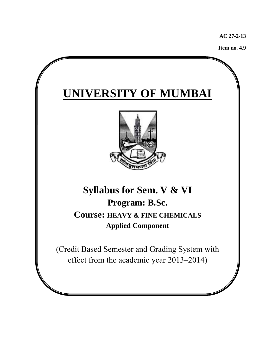**AC 27- -2-13** 

**Item no o. 4.9**

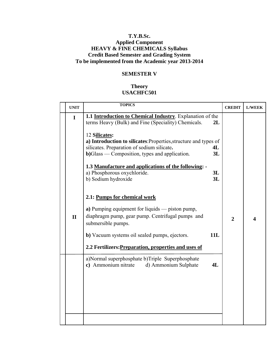# **T.Y.B.Sc. Applied Component HEAVY & FINE CHEMICALS Syllabus Credit Based Semester and Grading System To be implemented from the Academic year 2013-2014**

# **SEMESTER V**

# **Theory USACHFC501**

| <b>UNIT</b>                 | <b>TOPICS</b>                                                                                                                                                                                                                                                                                                                                                                                                                                                                                                                                                                                                    | <b>CREDIT</b>  | <b>L/WEEK</b> |
|-----------------------------|------------------------------------------------------------------------------------------------------------------------------------------------------------------------------------------------------------------------------------------------------------------------------------------------------------------------------------------------------------------------------------------------------------------------------------------------------------------------------------------------------------------------------------------------------------------------------------------------------------------|----------------|---------------|
| $\mathbf I$<br>$\mathbf{I}$ | 1.1 Introduction to Chemical Industry. Explanation of the<br>terms Heavy (Bulk) and Fine (Speciality) Chemicals.<br>2L<br>12 Silicates:<br>a) Introduction to silicates: Properties, structure and types of<br>silicates. Preparation of sodium silicate.<br>4L<br>$b)$ Glass — Composition, types and application.<br>3L<br>1.3 Manufacture and applications of the following: -<br>a) Phosphorous oxychloride.<br>3L<br>3L<br>b) Sodium hydroxide<br>2.1: Pumps for chemical work<br>a) Pumping equipment for liquids — piston pump,<br>diaphragm pump, gear pump. Centrifugal pumps and<br>submersible pumps. | $\overline{2}$ | Δ             |
|                             | 11L<br><b>b</b> ) Vacuum systems oil sealed pumps, ejectors.<br>2.2 Fertilizers: Preparation, properties and uses of                                                                                                                                                                                                                                                                                                                                                                                                                                                                                             |                |               |
|                             | a)Normal superphosphate b)Triple Superphosphate<br>c) Ammonium nitrate<br>d) Ammonium Sulphate<br>4L                                                                                                                                                                                                                                                                                                                                                                                                                                                                                                             |                |               |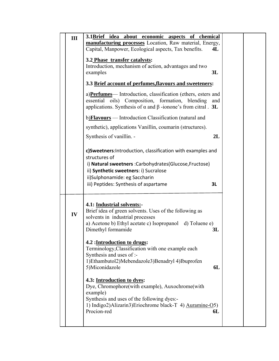| III | 3.1Brief idea about economic aspects of chemical                                                                                                                                                                  |     |  |
|-----|-------------------------------------------------------------------------------------------------------------------------------------------------------------------------------------------------------------------|-----|--|
|     | manufacturing processes Location, Raw material, Energy,                                                                                                                                                           |     |  |
|     | Capital, Manpower, Ecological aspects, Tax benefits.                                                                                                                                                              | 4L  |  |
|     | 3.2 Phase transfer catalysts:                                                                                                                                                                                     |     |  |
|     | Introduction, mechanism of action, advantages and two                                                                                                                                                             |     |  |
|     | examples                                                                                                                                                                                                          | 3L  |  |
|     |                                                                                                                                                                                                                   |     |  |
|     | 3.3 Brief account of perfumes, flavours and sweeteners:                                                                                                                                                           |     |  |
|     | a) <b>Perfumes</b> — Introduction, classification (ethers, esters and<br>essential oils) Composition, formation, blending<br>applications. Synthesis of $\alpha$ and $\beta$ -ionone's from citral. 3L            | and |  |
|     | b) <b>Flavours</b> — Introduction Classification (natural and                                                                                                                                                     |     |  |
|     | synthetic), applications Vanillin, coumarin (structures).                                                                                                                                                         |     |  |
|     | Synthesis of vanillin. -                                                                                                                                                                                          | 2L  |  |
|     | c)Sweetners: Introduction, classification with examples and<br>structures of<br>i) Natural sweetners : Carbohydrates (Glucose, Fructose)<br>ii) Synthetic sweetners: i) Sucralose                                 |     |  |
|     | ii)Sulphonamide: eg Saccharin                                                                                                                                                                                     |     |  |
|     | iii) Peptides: Synthesis of aspartame                                                                                                                                                                             | 3L  |  |
| IV  | 4.1: Industrial solvents:-<br>Brief idea of green solvents. Uses of the following as<br>solvents in industrial processes<br>a) Acetone b) Ethyl acetate c) Isopropanol d) Toluene e)<br>Dimethyl formamide        | 3L  |  |
|     | 4.2 : Introduction to drugs:<br>Terminology, Classification with one example each<br>Synthesis and uses of :-<br>1)Ethambutol2)Mebendazole3)Benadryl 4)Ibuprofen<br>5)Miconidazole                                | 6L  |  |
|     | 4.3: Introduction to dyes:<br>Dye, Chromophore(with example), Auxochrome(with<br>example)<br>Synthesis and uses of the following dyes:-<br>1) Indigo2)Alizarin3)Eriochrome black-T 4) Auramine-O5)<br>Procion-red | 6L  |  |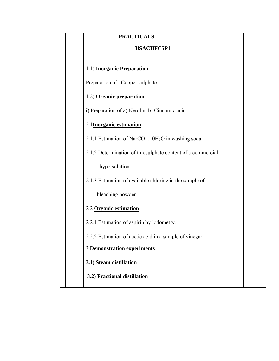| <b>PRACTICALS</b>                                                |  |
|------------------------------------------------------------------|--|
| <b>USACHFC5P1</b>                                                |  |
| 1.1) <b>Inorganic Preparation</b> :                              |  |
| Preparation of Copper sulphate                                   |  |
| 1.2) Organic preparation                                         |  |
| i) Preparation of a) Nerolin b) Cinnamic acid                    |  |
| 2.1 Inorganic estimation                                         |  |
| 2.1.1 Estimation of $Na2CO3$ .10H <sub>2</sub> O in washing soda |  |
| 2.1.2 Determination of thiosulphate content of a commercial      |  |
| hypo solution.                                                   |  |
| 2.1.3 Estimation of available chlorine in the sample of          |  |
| bleaching powder                                                 |  |
| 2.2 Organic estimation                                           |  |
| 2.2.1 Estimation of aspirin by iodometry.                        |  |
| 2.2.2 Estimation of acetic acid in a sample of vinegar           |  |
| 3 Demonstration experiments                                      |  |
| 3.1) Steam distillation                                          |  |
| 3.2) Fractional distillation                                     |  |
|                                                                  |  |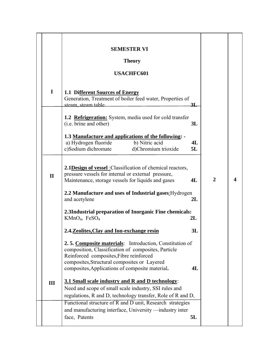|              | <b>SEMESTER VI</b><br><b>Theory</b>                                                                                                                                                                       |          |                |   |
|--------------|-----------------------------------------------------------------------------------------------------------------------------------------------------------------------------------------------------------|----------|----------------|---|
|              | <b>USACHFC601</b>                                                                                                                                                                                         |          |                |   |
| I            | 1.1 Different Sources of Energy<br>Generation, Treatment of boiler feed water, Properties of<br>steam, steam table.                                                                                       | 31.      |                |   |
|              | <b>1.2 Refrigeration:</b> System, media used for cold transfer<br>(i.e. brine and other)                                                                                                                  | 3L       |                |   |
|              | 1.3 Manufacture and applications of the following: -<br>b) Nitric acid<br>a) Hydrogen fluoride<br>c)Sodium dichromate<br>d)Chromium trioxide                                                              | 4L<br>5L |                |   |
| $\mathbf{I}$ | <b>2.1Design of vessel</b> : Classification of chemical reactors,<br>pressure vessels for internal or external pressure,<br>Maintenance, storage vessels for liquids and gases                            | 4L       | $\overline{2}$ | 4 |
|              | 2.2 Manufacture and uses of Industrial gases: Hydrogen<br>and acetylene                                                                                                                                   | 2L       |                |   |
|              | 2.3Industrial preparation of Inorganic Fine chemicals:<br>$KMnO4$ , FeSO <sub>4</sub>                                                                                                                     | 2L       |                |   |
|              | 2.4. Zeolites, Clay and Ion-exchange resin                                                                                                                                                                | 3L       |                |   |
|              | 2.5. Composite materials: Introduction, Constitution of<br>composition, Classification of composites, Particle<br>Reinforced composites, Fibre reinforced<br>composites, Structural composites or Layered |          |                |   |
|              | composites, Applications of composite material.                                                                                                                                                           | 4L       |                |   |
| III          | 3.1 Small scale industry and R and D technology:<br>Need and scope of small scale industry, SSI rules and                                                                                                 |          |                |   |
|              | regulations, R and D, technology transfer, Role of R and D,                                                                                                                                               |          |                |   |
|              | Functional structure of R and D unit, Research strategies                                                                                                                                                 |          |                |   |
|              | and manufacturing interface, University —industry inter                                                                                                                                                   |          |                |   |
|              | face, Patents                                                                                                                                                                                             | 5L       |                |   |
|              |                                                                                                                                                                                                           |          |                |   |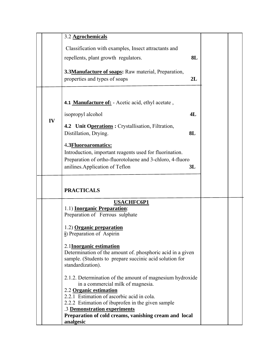|    | 3.2 Agrochemicals                                                                              |    |  |
|----|------------------------------------------------------------------------------------------------|----|--|
|    | Classification with examples, Insect attractants and                                           |    |  |
|    | repellents, plant growth regulators.                                                           | 8L |  |
|    |                                                                                                |    |  |
|    | 3.3Manufacture of soaps: Raw material, Preparation,                                            |    |  |
|    | properties and types of soaps                                                                  | 2L |  |
|    |                                                                                                |    |  |
|    | 4.1 Manufacture of: - Acetic acid, ethyl acetate,                                              |    |  |
|    |                                                                                                |    |  |
| IV | isopropyl alcohol                                                                              | 4L |  |
|    | 4.2 Unit Operations: Crystallisation, Filtration,                                              |    |  |
|    | Distillation, Drying.<br>8L                                                                    |    |  |
|    | 4.3 <b>Fluoroaromatics:</b>                                                                    |    |  |
|    | Introduction, important reagents used for fluorination.                                        |    |  |
|    | Preparation of ortho-fluorotoluene and 3-chloro, 4-fluoro                                      |    |  |
|    | anilines. Application of Teflon<br>3L                                                          |    |  |
|    | <b>PRACTICALS</b>                                                                              |    |  |
|    |                                                                                                |    |  |
|    | <b>USACHFC6P1</b>                                                                              |    |  |
|    | 1.1) <b>Inorganic Preparation</b> :<br>Preparation of Ferrous sulphate                         |    |  |
|    |                                                                                                |    |  |
|    | 1.2) Organic preparation                                                                       |    |  |
|    | i) Preparation of Aspirin                                                                      |    |  |
|    | 2.1Inorganic estimation                                                                        |    |  |
|    | Determination of the amount of phosphoric acid in a given                                      |    |  |
|    | sample. (Students to prepare succinic acid solution for<br>standardization).                   |    |  |
|    |                                                                                                |    |  |
|    | 2.1.2. Determination of the amount of magnesium hydroxide<br>in a commercial milk of magnesia. |    |  |
|    | 2.2 Organic estimation                                                                         |    |  |
|    | 2.2.1 Estimation of ascorbic acid in cola.                                                     |    |  |
|    | 2.2.2 Estimation of ibuprofen in the given sample                                              |    |  |
|    | .3 Demonstration experiments<br>Preparation of cold creams, vanishing cream and local          |    |  |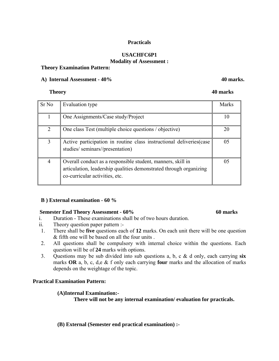## **Practicals**

## **USACHFC6P1 Modality of Assessment :**

## **Theory Examination Pattern:**

## A) Internal Assessment -  $40\%$

# **Theory 40 marks**

| Sr No          | Evaluation type                                                                                                                                                     | <b>Marks</b> |
|----------------|---------------------------------------------------------------------------------------------------------------------------------------------------------------------|--------------|
|                | One Assignments/Case study/Project                                                                                                                                  |              |
| 2              | One class Test (multiple choice questions / objective)                                                                                                              | 20           |
| 3              | Active participation in routine class instructional deliveries (case<br>studies/seminars//presentation)                                                             | 05           |
| $\overline{4}$ | Overall conduct as a responsible student, manners, skill in<br>articulation, leadership qualities demonstrated through organizing<br>co-curricular activities, etc. | 05           |

## **B ) External examination - 60 %**

## **Semester End Theory Assessment - 60% 60 marks**

- i. Duration These examinations shall be of two hours duration.
- ii. Theory question paper pattern :-
- 1. There shall be **five** questions each of **12** marks. On each unit there will be one question & fifth one will be based on all the four units .
- 2. All questions shall be compulsory with internal choice within the questions. Each question will be of **24** marks with options.
- 3. Questions may be sub divided into sub questions a, b, c & d only, each carrying **six** marks **OR** a, b, c, d,e & f only each carrying **four** marks and the allocation of marks depends on the weightage of the topic.

# **Practical Examination Pattern:**

# **(A)Internal Examination:-**

**There will not be any internal examination/ evaluation for practicals.** 

**(B) External (Semester end practical examination) :-**